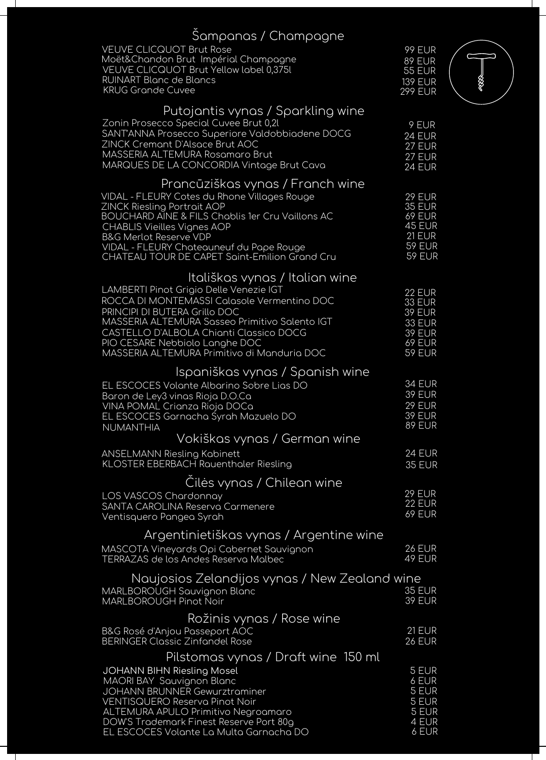| Šampanas / Champagne                                                                                                                                                                                                                                                                                                                                                 |                                                                                                                     |   |
|----------------------------------------------------------------------------------------------------------------------------------------------------------------------------------------------------------------------------------------------------------------------------------------------------------------------------------------------------------------------|---------------------------------------------------------------------------------------------------------------------|---|
| <b>VEUVE CLICQUOT Brut Rose</b><br>Moët&Chandon Brut Impérial Champagne<br>VEUVE CLICQUOT Brut Yellow label 0,375l<br><b>RUINART Blanc de Blancs</b><br><b>KRUG Grande Cuvee</b>                                                                                                                                                                                     | <b>99 EUR</b><br>89 EUR<br><b>55 EUR</b><br><b>139 EUR</b><br><b>299 EUR</b>                                        | E |
| Putojantis vynas / Sparkling wine<br>Zonin Prosecco Special Cuvee Brut 0,21<br>SANT'ANNA Prosecco Superiore Valdobbiadene DOCG<br>ZINCK Cremant D'Alsace Brut AOC<br>MASSERIA ALTEMURA Rosamaro Brut<br>MARQUES DE LA CONCORDIA Vintage Brut Cava                                                                                                                    | 9 EUR<br><b>24 EUR</b><br><b>27 EUR</b><br>27 EUR<br>$24$ EUR                                                       |   |
| Prancūziškas vynas / Franch wine<br>VIDAL - FLEURY Cotes du Rhone Villages Rouge<br><b>ZINCK Riesling Portrait AOP</b><br><b>BOUCHARD AINE &amp; FILS Chablis 1er Cru Vaillons AC</b><br><b>CHABLIS Vieilles Vignes AOP</b><br><b>B&amp;G Merlot Reserve VDP</b><br>VIDAL - FLEURY Chateauneuf du Pape Rouge<br><b>CHATEAU TOUR DE CAPET Saint-Emilion Grand Cru</b> | <b>29 EUR</b><br><b>35 EUR</b><br><b>69 EUR</b><br><b>45 EUR</b><br><b>21 EUR</b><br><b>59 EUR</b><br><b>59 EUR</b> |   |
| Itališkas vynas / Italian wine<br>LAMBERTI Pinot Grigio Delle Venezie IGT<br>ROCCA DI MONTEMASSI Calasole Vermentino DOC<br>PRINCIPI DI BUTERA Grillo DOC<br>MASSERIA ALTEMURA Sasseo Primitivo Salento IGT<br>CASTELLO D'ALBOLA Chianti Classico DOCG<br>PIO CESARE Nebbiolo Langhe DOC<br>MASSERIA ALTEMURA Primitivo di Manduria DOC                              | <b>22 EUR</b><br><b>33 EUR</b><br><b>39 EUR</b><br><b>33 EUR</b><br><b>39 EUR</b><br><b>69 EUR</b><br><b>59 EUR</b> |   |
| Ispaniškas vynas / Spanish wine<br>EL ESCOCES Volante Albarino Sobre Lias DO<br>Baron de Ley3 vinas Rioja D.O.Ca<br>VINA POMAL Crianza Rioja DOCa<br>EL ESCOCES Garnacha Śyrah Mazuelo DO<br>NUMANTHIA                                                                                                                                                               | <b>34 EUR</b><br><b>39 EUR</b><br><b>29 EUR</b><br><b>39 EUR</b><br><b>89 EUR</b>                                   |   |
| Vokiškas vynas / German wine                                                                                                                                                                                                                                                                                                                                         |                                                                                                                     |   |
| <b>ANSELMANN Riesling Kabinett</b><br><b>KLOSTER EBERBACH Rauenthaler Riesling</b>                                                                                                                                                                                                                                                                                   | <b>24 EUR</b><br><b>35 EUR</b>                                                                                      |   |
| Ciles vynas / Chilean wine<br>LOS VASCOS Chardonnay<br>SANTA CAROLINA Reserva Carmenere<br>Ventisquero Pangea Syrah                                                                                                                                                                                                                                                  | <b>29 EUR</b><br><b>22 EUR</b><br><b>69 EUR</b>                                                                     |   |
| Argentinietiškas vynas / Argentine wine<br>MASCOTA Vineyards Opi Cabernet Sauvignon<br>TERRAZAS de los Andes Reserva Malbec                                                                                                                                                                                                                                          | <b>26 EUR</b><br>49 EUR                                                                                             |   |
| Naujosios Zelandijos vynas / New Zealand wine<br>MARLBOROUGH Sauvignon Blanc<br><b>MARLBOROUGH Pinot Noir</b>                                                                                                                                                                                                                                                        | <b>35 EUR</b><br><b>39 EUR</b>                                                                                      |   |
| Rožinis vynas / Rose wine<br><b>B&amp;G</b> Rosé d'Anjou Passeport AOC<br><b>BERINGER Classic Zinfandel Rose</b>                                                                                                                                                                                                                                                     | <b>21 EUR</b><br><b>26 EUR</b>                                                                                      |   |
| Pilstomas vynas / Draft wine 150 ml<br><b>JOHANN BIHN Riesling Mosel</b><br>MAORI BAY Sauvignon Blanc<br><b>JOHANN BRUNNER Gewurztraminer</b><br><b>VENTISQUERO Reserva Pinot Noir</b><br><b>ALTEMURA APULO Primitivo Negroamaro</b><br>DOW'S Trademark Finest Reserve Port 80g<br>EL ESCOCES Volante La Multa Garnacha DO                                           | 5 EUR<br>6 EUR<br>5 EUR<br>5 EUR<br>5 EUR<br>4 EUR<br>6 EUR                                                         |   |